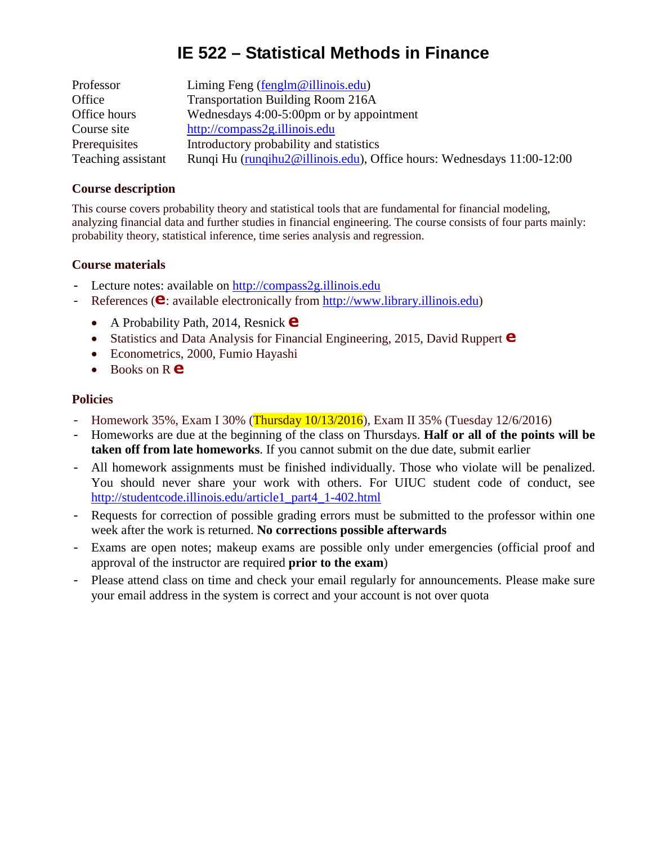# **IE 522 – Statistical Methods in Finance**

| Professor          | Liming Feng $(\text{fenglm@illinois.edu})$                             |
|--------------------|------------------------------------------------------------------------|
| Office             | <b>Transportation Building Room 216A</b>                               |
| Office hours       | Wednesdays 4:00-5:00pm or by appointment                               |
| Course site        | http://compass2g.illinois.edu                                          |
| Prerequisites      | Introductory probability and statistics                                |
| Teaching assistant | Runqi Hu (runqihu2@illinois.edu), Office hours: Wednesdays 11:00-12:00 |

#### *<sup>T</sup>***Course description**

This course covers probability theory and statistical tools that are fundamental for financial modeling, analyzing financial data and further studies in financial engineering. The course consists of four parts mainly: probability theory, statistical inference, time series analysis and regression.

### **Course materials**

- Lecture notes: available on [http://compass2g.illinois.edu](http://compass2g.illinois.edu/)
- References ( $\bullet$ : available electronically from [http://www.library.illinois.edu\)](http://www.library.illinois.edu/)
	- A Probability Path, 2014, Resnick  $\bullet$
	- Statistics and Data Analysis for Financial Engineering, 2015, David Ruppert  $\bullet$
	- Econometrics, 2000, Fumio Hayashi
	- Books on R **e**

### **Policies**

- Homework 35%, Exam I 30% (Thursday 10/13/2016), Exam II 35% (Tuesday 12/6/2016)
- Homeworks are due at the beginning of the class on Thursdays. **Half or all of the points will be taken off from late homeworks**. If you cannot submit on the due date, submit earlier
- All homework assignments must be finished individually. Those who violate will be penalized. You should never share your work with others. For UIUC student code of conduct, see [http://studentcode.illinois.edu/article1\\_part4\\_1-402.html](http://studentcode.illinois.edu/article1_part4_1-402.html)
- Requests for correction of possible grading errors must be submitted to the professor within one week after the work is returned. **No corrections possible afterwards**
- Exams are open notes; makeup exams are possible only under emergencies (official proof and approval of the instructor are required **prior to the exam**)
- Please attend class on time and check your email regularly for announcements. Please make sure your email address in the system is correct and your account is not over quota